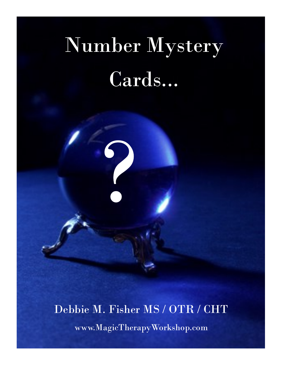## Number Mystery Cards...

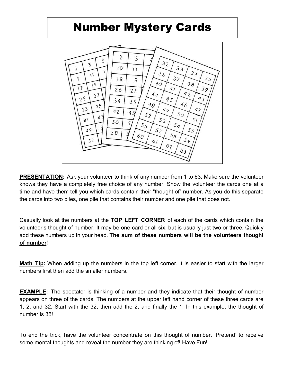## Number Mystery Cards



**PRESENTATION:** Ask your volunteer to think of any number from 1 to 63. Make sure the volunteer knows they have a completely free choice of any number. Show the volunteer the cards one at a time and have them tell you which cards contain their "thought of" number. As you do this separate the cards into two piles, one pile that contains their number and one pile that does not.

Casually look at the numbers at the **TOP LEFT CORNER** of each of the cards which contain the volunteer's thought of number. It may be one card or all six, but is usually just two or three. Quickly add these numbers up in your head. **The sum of these numbers will be the volunteers thought of number**!

**Math Tip:** When adding up the numbers in the top left corner, it is easier to start with the larger numbers first then add the smaller numbers.

**EXAMPLE:** The spectator is thinking of a number and they indicate that their thought of number appears on three of the cards. The numbers at the upper left hand corner of these three cards are 1, 2, and 32. Start with the 32, then add the 2, and finally the 1. In this example, the thought of number is 35!

To end the trick, have the volunteer concentrate on this thought of number. 'Pretend' to receive some mental thoughts and reveal the number they are thinking of! Have Fun!